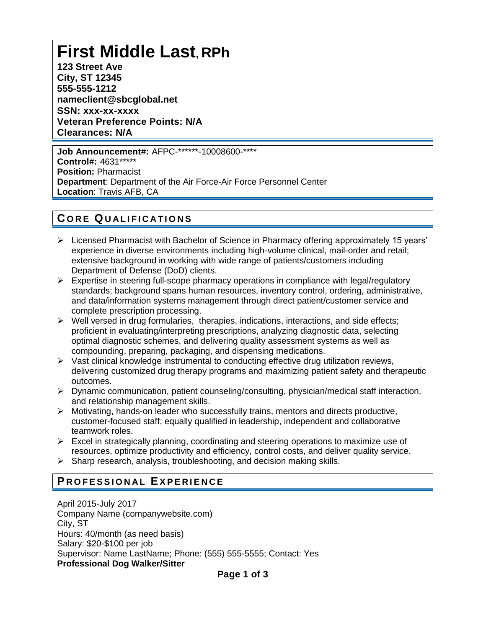# **First Middle Last, RPh**

**123 Street Ave City, ST 12345 555-555-1212 nameclient@sbcglobal.net SSN: xxx-xx-xxxx Veteran Preference Points: N/A Clearances: N/A**

**Job Announcement#:** AFPC-\*\*\*\*\*\*-10008600-\*\*\*\* **Control#:** 4631\*\*\*\*\* **Position:** Pharmacist **Department**: Department of the Air Force-Air Force Personnel Center **Location**: Travis AFB, CA

# **C O R E QU A L I F I C A T I O N S**

- ➢ Licensed Pharmacist with Bachelor of Science in Pharmacy offering approximately 15 years' experience in diverse environments including high-volume clinical, mail-order and retail; extensive background in working with wide range of patients/customers including Department of Defense (DoD) clients.
- $\triangleright$  Expertise in steering full-scope pharmacy operations in compliance with legal/regulatory standards; background spans human resources, inventory control, ordering, administrative, and data/information systems management through direct patient/customer service and complete prescription processing.
- ➢ Well versed in drug formularies, therapies, indications, interactions, and side effects; proficient in evaluating/interpreting prescriptions, analyzing diagnostic data, selecting optimal diagnostic schemes, and delivering quality assessment systems as well as compounding, preparing, packaging, and dispensing medications.
- $\triangleright$  Vast clinical knowledge instrumental to conducting effective drug utilization reviews, delivering customized drug therapy programs and maximizing patient safety and therapeutic outcomes.
- ➢ Dynamic communication, patient counseling/consulting, physician/medical staff interaction, and relationship management skills.
- ➢ Motivating, hands-on leader who successfully trains, mentors and directs productive, customer-focused staff; equally qualified in leadership, independent and collaborative teamwork roles.
- $\triangleright$  Excel in strategically planning, coordinating and steering operations to maximize use of resources, optimize productivity and efficiency, control costs, and deliver quality service.
- $\triangleright$  Sharp research, analysis, troubleshooting, and decision making skills.

# **PROFESSIONAL EXPERIENCE**

April 2015-July 2017 Company Name (companywebsite.com) City, ST Hours: 40/month (as need basis) Salary: \$20-\$100 per job Supervisor: Name LastName; Phone: (555) 555-5555; Contact: Yes **Professional Dog Walker/Sitter**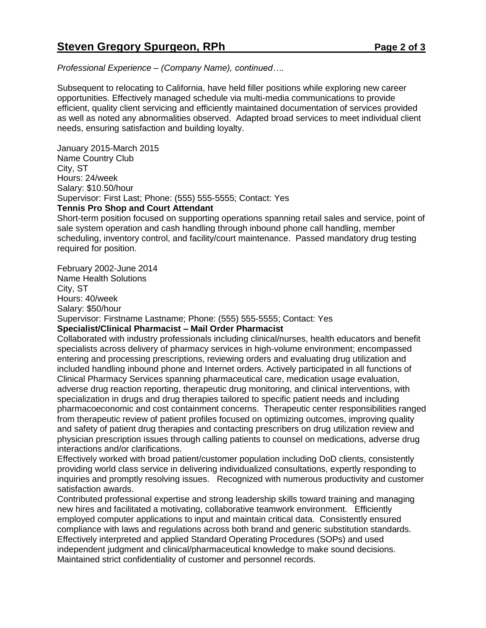*Professional Experience – (Company Name), continued….*

Subsequent to relocating to California, have held filler positions while exploring new career opportunities. Effectively managed schedule via multi-media communications to provide efficient, quality client servicing and efficiently maintained documentation of services provided as well as noted any abnormalities observed. Adapted broad services to meet individual client needs, ensuring satisfaction and building loyalty.

January 2015-March 2015 Name Country Club City, ST Hours: 24/week Salary: \$10.50/hour Supervisor: First Last; Phone: (555) 555-5555; Contact: Yes **Tennis Pro Shop and Court Attendant**

Short-term position focused on supporting operations spanning retail sales and service, point of sale system operation and cash handling through inbound phone call handling, member scheduling, inventory control, and facility/court maintenance. Passed mandatory drug testing required for position.

February 2002-June 2014 Name Health Solutions City, ST Hours: 40/week Salary: \$50/hour Supervisor: Firstname Lastname; Phone: (555) 555-5555; Contact: Yes **Specialist/Clinical Pharmacist – Mail Order Pharmacist**

Collaborated with industry professionals including clinical/nurses, health educators and benefit specialists across delivery of pharmacy services in high-volume environment; encompassed entering and processing prescriptions, reviewing orders and evaluating drug utilization and included handling inbound phone and Internet orders. Actively participated in all functions of Clinical Pharmacy Services spanning pharmaceutical care, medication usage evaluation, adverse drug reaction reporting, therapeutic drug monitoring, and clinical interventions, with specialization in drugs and drug therapies tailored to specific patient needs and including pharmacoeconomic and cost containment concerns. Therapeutic center responsibilities ranged from therapeutic review of patient profiles focused on optimizing outcomes, improving quality and safety of patient drug therapies and contacting prescribers on drug utilization review and physician prescription issues through calling patients to counsel on medications, adverse drug interactions and/or clarifications.

Effectively worked with broad patient/customer population including DoD clients, consistently providing world class service in delivering individualized consultations, expertly responding to inquiries and promptly resolving issues. Recognized with numerous productivity and customer satisfaction awards.

Contributed professional expertise and strong leadership skills toward training and managing new hires and facilitated a motivating, collaborative teamwork environment. Efficiently employed computer applications to input and maintain critical data. Consistently ensured compliance with laws and regulations across both brand and generic substitution standards. Effectively interpreted and applied Standard Operating Procedures (SOPs) and used independent judgment and clinical/pharmaceutical knowledge to make sound decisions. Maintained strict confidentiality of customer and personnel records.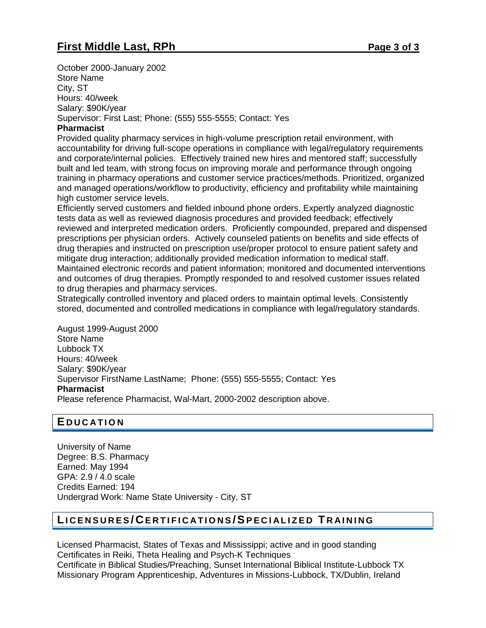October 2000-January 2002 Store Name City, ST Hours: 40/week Salary: \$90K/year Supervisor: First Last; Phone: (555) 555-5555; Contact: Yes

#### **Pharmacist**

Provided quality pharmacy services in high-volume prescription retail environment, with accountability for driving full-scope operations in compliance with legal/regulatory requirements and corporate/internal policies. Effectively trained new hires and mentored staff; successfully built and led team, with strong focus on improving morale and performance through ongoing training in pharmacy operations and customer service practices/methods. Prioritized, organized and managed operations/workflow to productivity, efficiency and profitability while maintaining high customer service levels.

Efficiently served customers and fielded inbound phone orders. Expertly analyzed diagnostic tests data as well as reviewed diagnosis procedures and provided feedback; effectively reviewed and interpreted medication orders. Proficiently compounded, prepared and dispensed prescriptions per physician orders. Actively counseled patients on benefits and side effects of drug therapies and instructed on prescription use/proper protocol to ensure patient safety and mitigate drug interaction; additionally provided medication information to medical staff. Maintained electronic records and patient information; monitored and documented interventions and outcomes of drug therapies. Promptly responded to and resolved customer issues related to drug therapies and pharmacy services.

Strategically controlled inventory and placed orders to maintain optimal levels. Consistently stored, documented and controlled medications in compliance with legal/regulatory standards.

August 1999-August 2000 Store Name Lubbock TX Hours: 40/week Salary: \$90K/year Supervisor FirstName LastName; Phone: (555) 555-5555; Contact: Yes **Pharmacist** Please reference Pharmacist, Wal-Mart, 2000-2002 description above.

#### **E D U C A T I O N**

University of Name Degree: B.S. Pharmacy Earned: May 1994 GPA: 2.9 / 4.0 scale Credits Earned: 194 Undergrad Work: Name State University - City, ST

## **LI C E N S U R E S / CE R T I F I C A T I O N S / SP E C I A L I Z E D T R A I N I N G**

Licensed Pharmacist, States of Texas and Mississippi; active and in good standing Certificates in Reiki, Theta Healing and Psych-K Techniques Certificate in Biblical Studies/Preaching, Sunset International Biblical Institute-Lubbock TX Missionary Program Apprenticeship, Adventures in Missions-Lubbock, TX/Dublin, Ireland